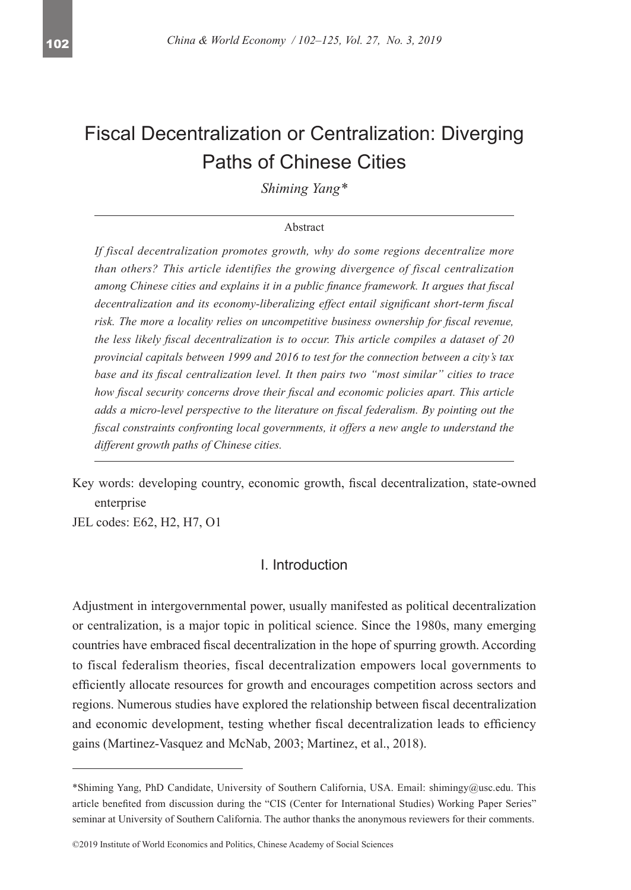# Fiscal Decentralization or Centralization: Diverging Paths of Chinese Cities

*Shiming Yang\**

#### Abstract

*If fiscal decentralization promotes growth, why do some regions decentralize more than others? This article identifies the growing divergence of fiscal centralization among Chinese cities and explains it in a public finance framework. It argues that fiscal decentralization and its economy-liberalizing effect entail significant short-term fiscal risk. The more a locality relies on uncompetitive business ownership for fiscal revenue, the less likely fiscal decentralization is to occur. This article compiles a dataset of 20 provincial capitals between 1999 and 2016 to test for the connection between a city's tax base and its fiscal centralization level. It then pairs two "most similar" cities to trace how fiscal security concerns drove their fiscal and economic policies apart. This article adds a micro-level perspective to the literature on fiscal federalism. By pointing out the fiscal constraints confronting local governments, it offers a new angle to understand the different growth paths of Chinese cities.*

Key words: developing country, economic growth, fiscal decentralization, state-owned enterprise

JEL codes: E62, H2, H7, O1

# I. Introduction

Adjustment in intergovernmental power, usually manifested as political decentralization or centralization, is a major topic in political science. Since the 1980s, many emerging countries have embraced fiscal decentralization in the hope of spurring growth. According to fiscal federalism theories, fiscal decentralization empowers local governments to efficiently allocate resources for growth and encourages competition across sectors and regions. Numerous studies have explored the relationship between fiscal decentralization and economic development, testing whether fiscal decentralization leads to efficiency gains (Martinez-Vasquez and McNab, 2003; Martinez, et al., 2018).

<sup>\*</sup>Shiming Yang, PhD Candidate, University of Southern California, USA. Email: shimingy@usc.edu. This article benefited from discussion during the "CIS (Center for International Studies) Working Paper Series" seminar at University of Southern California. The author thanks the anonymous reviewers for their comments.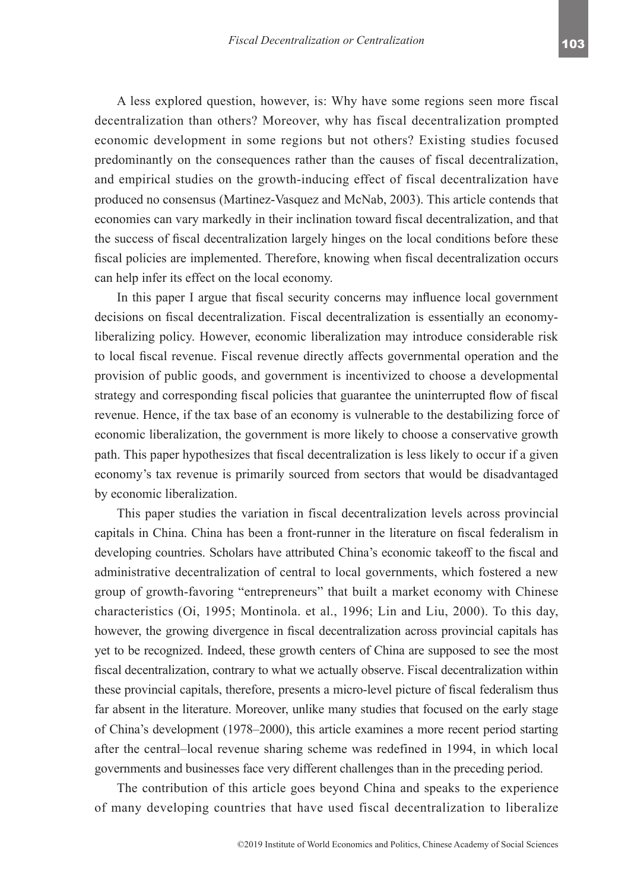A less explored question, however, is: Why have some regions seen more fiscal decentralization than others? Moreover, why has fiscal decentralization prompted economic development in some regions but not others? Existing studies focused predominantly on the consequences rather than the causes of fiscal decentralization, and empirical studies on the growth-inducing effect of fiscal decentralization have produced no consensus (Martinez-Vasquez and McNab, 2003). This article contends that economies can vary markedly in their inclination toward fiscal decentralization, and that the success of fiscal decentralization largely hinges on the local conditions before these fiscal policies are implemented. Therefore, knowing when fiscal decentralization occurs can help infer its effect on the local economy.

In this paper I argue that fiscal security concerns may influence local government decisions on fiscal decentralization. Fiscal decentralization is essentially an economyliberalizing policy. However, economic liberalization may introduce considerable risk to local fiscal revenue. Fiscal revenue directly affects governmental operation and the provision of public goods, and government is incentivized to choose a developmental strategy and corresponding fiscal policies that guarantee the uninterrupted flow of fiscal revenue. Hence, if the tax base of an economy is vulnerable to the destabilizing force of economic liberalization, the government is more likely to choose a conservative growth path. This paper hypothesizes that fiscal decentralization is less likely to occur if a given economy's tax revenue is primarily sourced from sectors that would be disadvantaged by economic liberalization.

This paper studies the variation in fiscal decentralization levels across provincial capitals in China. China has been a front-runner in the literature on fiscal federalism in developing countries. Scholars have attributed China's economic takeoff to the fiscal and administrative decentralization of central to local governments, which fostered a new group of growth-favoring "entrepreneurs" that built a market economy with Chinese characteristics (Oi, 1995; Montinola. et al., 1996; Lin and Liu, 2000). To this day, however, the growing divergence in fiscal decentralization across provincial capitals has yet to be recognized. Indeed, these growth centers of China are supposed to see the most fiscal decentralization, contrary to what we actually observe. Fiscal decentralization within these provincial capitals, therefore, presents a micro-level picture of fiscal federalism thus far absent in the literature. Moreover, unlike many studies that focused on the early stage of China's development (1978–2000), this article examines a more recent period starting after the central–local revenue sharing scheme was redefined in 1994, in which local governments and businesses face very different challenges than in the preceding period.

The contribution of this article goes beyond China and speaks to the experience of many developing countries that have used fiscal decentralization to liberalize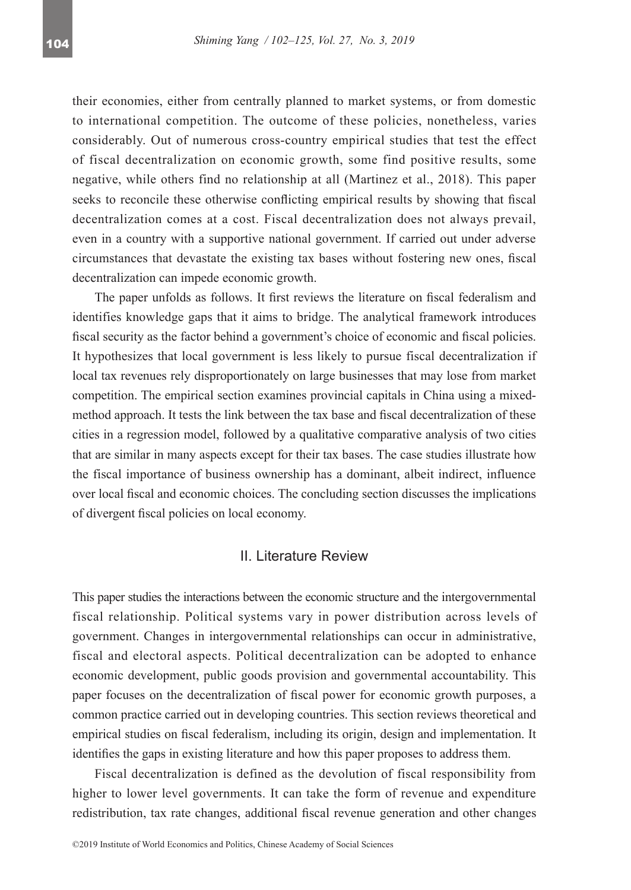their economies, either from centrally planned to market systems, or from domestic to international competition. The outcome of these policies, nonetheless, varies considerably. Out of numerous cross-country empirical studies that test the effect of fiscal decentralization on economic growth, some find positive results, some negative, while others find no relationship at all (Martinez et al., 2018). This paper seeks to reconcile these otherwise conflicting empirical results by showing that fiscal decentralization comes at a cost. Fiscal decentralization does not always prevail, even in a country with a supportive national government. If carried out under adverse circumstances that devastate the existing tax bases without fostering new ones, fiscal decentralization can impede economic growth.

The paper unfolds as follows. It first reviews the literature on fiscal federalism and identifies knowledge gaps that it aims to bridge. The analytical framework introduces fiscal security as the factor behind a government's choice of economic and fiscal policies. It hypothesizes that local government is less likely to pursue fiscal decentralization if local tax revenues rely disproportionately on large businesses that may lose from market competition. The empirical section examines provincial capitals in China using a mixedmethod approach. It tests the link between the tax base and fiscal decentralization of these cities in a regression model, followed by a qualitative comparative analysis of two cities that are similar in many aspects except for their tax bases. The case studies illustrate how the fiscal importance of business ownership has a dominant, albeit indirect, influence over local fiscal and economic choices. The concluding section discusses the implications of divergent fiscal policies on local economy.

# II. Literature Review

This paper studies the interactions between the economic structure and the intergovernmental fiscal relationship. Political systems vary in power distribution across levels of government. Changes in intergovernmental relationships can occur in administrative, fiscal and electoral aspects. Political decentralization can be adopted to enhance economic development, public goods provision and governmental accountability. This paper focuses on the decentralization of fiscal power for economic growth purposes, a common practice carried out in developing countries. This section reviews theoretical and empirical studies on fiscal federalism, including its origin, design and implementation. It identifies the gaps in existing literature and how this paper proposes to address them.

Fiscal decentralization is defined as the devolution of fiscal responsibility from higher to lower level governments. It can take the form of revenue and expenditure redistribution, tax rate changes, additional fiscal revenue generation and other changes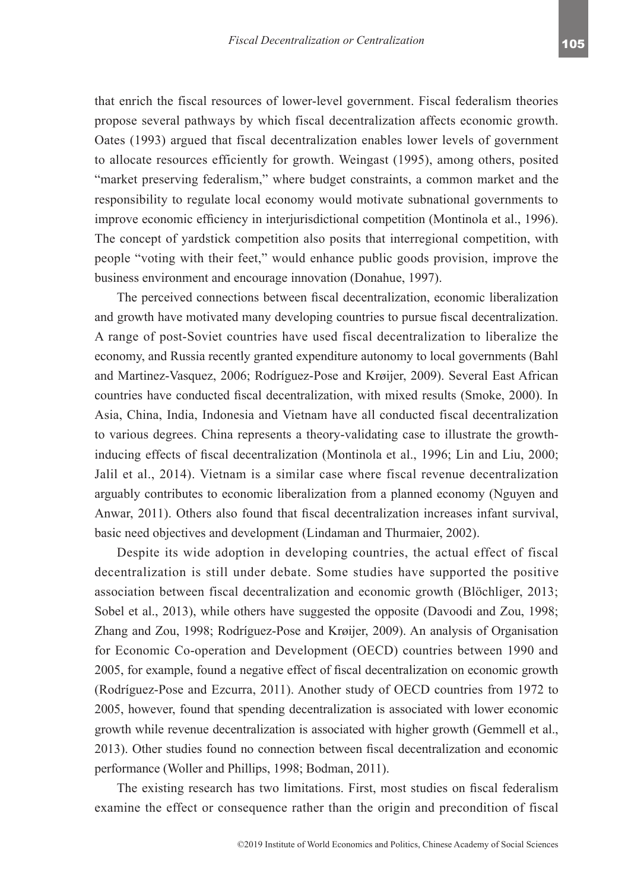that enrich the fiscal resources of lower-level government. Fiscal federalism theories propose several pathways by which fiscal decentralization affects economic growth. Oates (1993) argued that fiscal decentralization enables lower levels of government to allocate resources efficiently for growth. Weingast (1995), among others, posited "market preserving federalism," where budget constraints, a common market and the responsibility to regulate local economy would motivate subnational governments to improve economic efficiency in interjurisdictional competition (Montinola et al., 1996). The concept of yardstick competition also posits that interregional competition, with people "voting with their feet," would enhance public goods provision, improve the business environment and encourage innovation (Donahue, 1997).

The perceived connections between fiscal decentralization, economic liberalization and growth have motivated many developing countries to pursue fiscal decentralization. A range of post-Soviet countries have used fiscal decentralization to liberalize the economy, and Russia recently granted expenditure autonomy to local governments (Bahl and Martinez-Vasquez, 2006; Rodríguez-Pose and Krøijer, 2009). Several East African countries have conducted fiscal decentralization, with mixed results (Smoke, 2000). In Asia, China, India, Indonesia and Vietnam have all conducted fiscal decentralization to various degrees. China represents a theory-validating case to illustrate the growthinducing effects of fiscal decentralization (Montinola et al., 1996; Lin and Liu, 2000; Jalil et al., 2014). Vietnam is a similar case where fiscal revenue decentralization arguably contributes to economic liberalization from a planned economy (Nguyen and Anwar, 2011). Others also found that fiscal decentralization increases infant survival, basic need objectives and development (Lindaman and Thurmaier, 2002).

Despite its wide adoption in developing countries, the actual effect of fiscal decentralization is still under debate. Some studies have supported the positive association between fiscal decentralization and economic growth (Blöchliger, 2013; Sobel et al., 2013), while others have suggested the opposite (Davoodi and Zou, 1998; Zhang and Zou, 1998; Rodríguez-Pose and Krøijer, 2009). An analysis of Organisation for Economic Co-operation and Development (OECD) countries between 1990 and 2005, for example, found a negative effect of fiscal decentralization on economic growth (Rodríguez-Pose and Ezcurra, 2011). Another study of OECD countries from 1972 to 2005, however, found that spending decentralization is associated with lower economic growth while revenue decentralization is associated with higher growth (Gemmell et al., 2013). Other studies found no connection between fiscal decentralization and economic performance (Woller and Phillips, 1998; Bodman, 2011).

The existing research has two limitations. First, most studies on fiscal federalism examine the effect or consequence rather than the origin and precondition of fiscal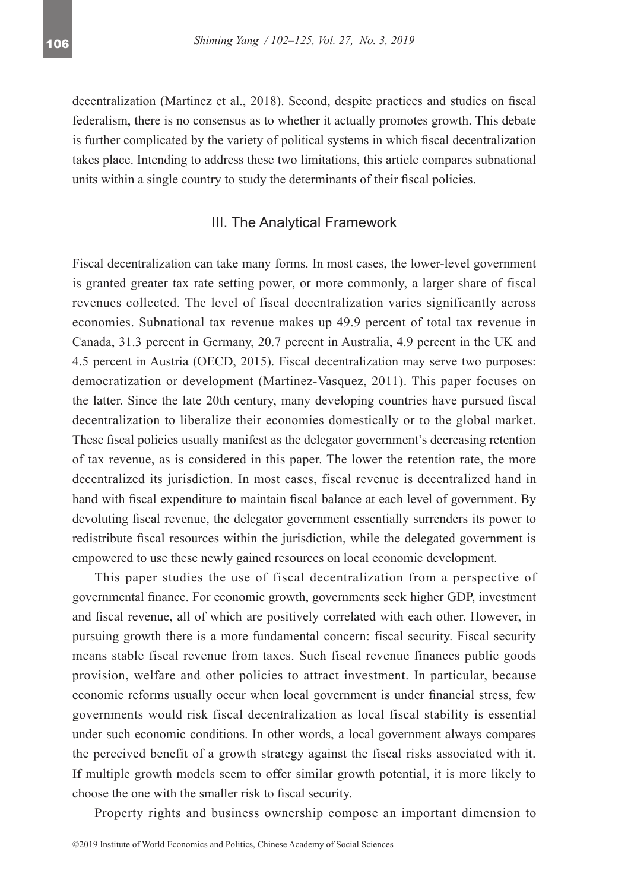decentralization (Martinez et al., 2018). Second, despite practices and studies on fiscal federalism, there is no consensus as to whether it actually promotes growth. This debate is further complicated by the variety of political systems in which fiscal decentralization takes place. Intending to address these two limitations, this article compares subnational units within a single country to study the determinants of their fiscal policies.

## III. The Analytical Framework

Fiscal decentralization can take many forms. In most cases, the lower-level government is granted greater tax rate setting power, or more commonly, a larger share of fiscal revenues collected. The level of fiscal decentralization varies significantly across economies. Subnational tax revenue makes up 49.9 percent of total tax revenue in Canada, 31.3 percent in Germany, 20.7 percent in Australia, 4.9 percent in the UK and 4.5 percent in Austria (OECD, 2015). Fiscal decentralization may serve two purposes: democratization or development (Martinez-Vasquez, 2011). This paper focuses on the latter. Since the late 20th century, many developing countries have pursued fiscal decentralization to liberalize their economies domestically or to the global market. These fiscal policies usually manifest as the delegator government's decreasing retention of tax revenue, as is considered in this paper. The lower the retention rate, the more decentralized its jurisdiction. In most cases, fiscal revenue is decentralized hand in hand with fiscal expenditure to maintain fiscal balance at each level of government. By devoluting fiscal revenue, the delegator government essentially surrenders its power to redistribute fiscal resources within the jurisdiction, while the delegated government is empowered to use these newly gained resources on local economic development.

This paper studies the use of fiscal decentralization from a perspective of governmental finance. For economic growth, governments seek higher GDP, investment and fiscal revenue, all of which are positively correlated with each other. However, in pursuing growth there is a more fundamental concern: fiscal security. Fiscal security means stable fiscal revenue from taxes. Such fiscal revenue finances public goods provision, welfare and other policies to attract investment. In particular, because economic reforms usually occur when local government is under financial stress, few governments would risk fiscal decentralization as local fiscal stability is essential under such economic conditions. In other words, a local government always compares the perceived benefit of a growth strategy against the fiscal risks associated with it. If multiple growth models seem to offer similar growth potential, it is more likely to choose the one with the smaller risk to fiscal security.

Property rights and business ownership compose an important dimension to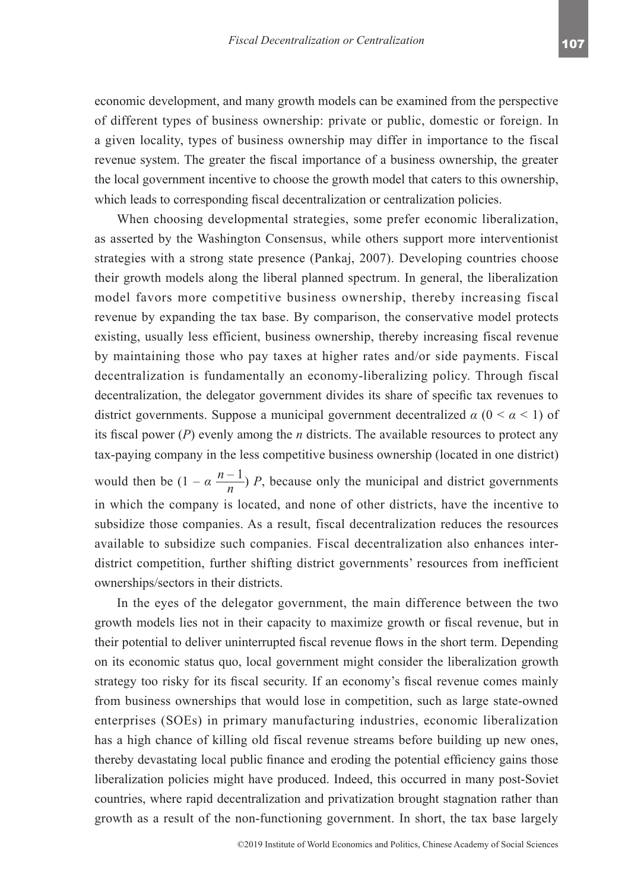economic development, and many growth models can be examined from the perspective of different types of business ownership: private or public, domestic or foreign. In a given locality, types of business ownership may differ in importance to the fiscal revenue system. The greater the fiscal importance of a business ownership, the greater the local government incentive to choose the growth model that caters to this ownership, which leads to corresponding fiscal decentralization or centralization policies.

When choosing developmental strategies, some prefer economic liberalization, as asserted by the Washington Consensus, while others support more interventionist strategies with a strong state presence (Pankaj, 2007). Developing countries choose their growth models along the liberal planned spectrum. In general, the liberalization model favors more competitive business ownership, thereby increasing fiscal revenue by expanding the tax base. By comparison, the conservative model protects existing, usually less efficient, business ownership, thereby increasing fiscal revenue by maintaining those who pay taxes at higher rates and/or side payments. Fiscal decentralization is fundamentally an economy-liberalizing policy. Through fiscal decentralization, the delegator government divides its share of specific tax revenues to district governments. Suppose a municipal government decentralized  $\alpha$  ( $0 \le \alpha \le 1$ ) of its fiscal power (*P*) evenly among the *n* districts. The available resources to protect any tax-paying company in the less competitive business ownership (located in one district) would then be  $(1 - \alpha \frac{n-1}{n})$  *P*, because only the municipal and district governments in which the company is located, and none of other districts, have the incentive to subsidize those companies. As a result, fiscal decentralization reduces the resources available to subsidize such companies. Fiscal decentralization also enhances interdistrict competition, further shifting district governments' resources from inefficient ownerships/sectors in their districts.

In the eyes of the delegator government, the main difference between the two growth models lies not in their capacity to maximize growth or fiscal revenue, but in their potential to deliver uninterrupted fiscal revenue flows in the short term. Depending on its economic status quo, local government might consider the liberalization growth strategy too risky for its fiscal security. If an economy's fiscal revenue comes mainly from business ownerships that would lose in competition, such as large state-owned enterprises (SOEs) in primary manufacturing industries, economic liberalization has a high chance of killing old fiscal revenue streams before building up new ones, thereby devastating local public finance and eroding the potential efficiency gains those liberalization policies might have produced. Indeed, this occurred in many post-Soviet countries, where rapid decentralization and privatization brought stagnation rather than growth as a result of the non-functioning government. In short, the tax base largely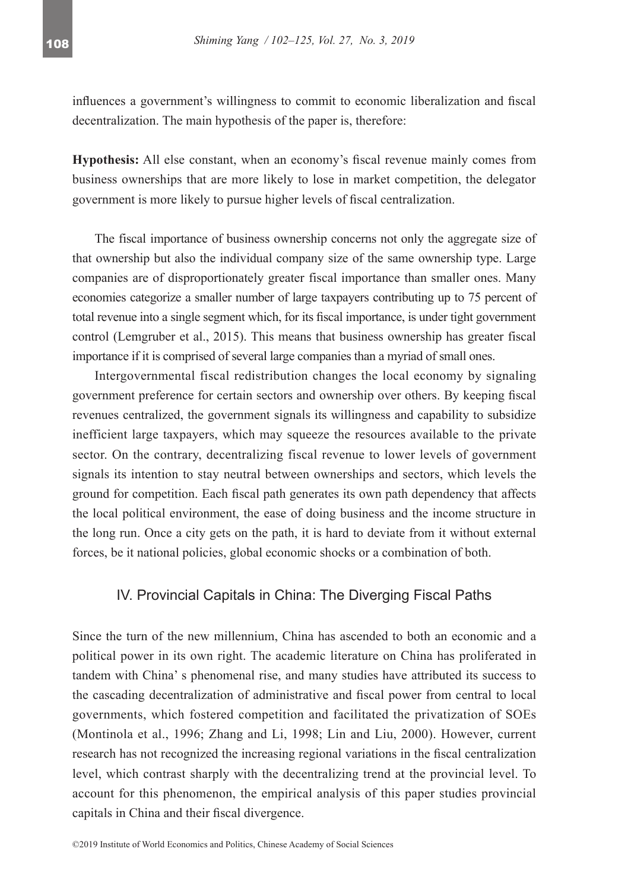influences a government's willingness to commit to economic liberalization and fiscal decentralization. The main hypothesis of the paper is, therefore:

**Hypothesis:** All else constant, when an economy's fiscal revenue mainly comes from business ownerships that are more likely to lose in market competition, the delegator government is more likely to pursue higher levels of fiscal centralization.

The fiscal importance of business ownership concerns not only the aggregate size of that ownership but also the individual company size of the same ownership type. Large companies are of disproportionately greater fiscal importance than smaller ones. Many economies categorize a smaller number of large taxpayers contributing up to 75 percent of total revenue into a single segment which, for its fiscal importance, is under tight government control (Lemgruber et al., 2015). This means that business ownership has greater fiscal importance if it is comprised of several large companies than a myriad of small ones.

Intergovernmental fiscal redistribution changes the local economy by signaling government preference for certain sectors and ownership over others. By keeping fiscal revenues centralized, the government signals its willingness and capability to subsidize inefficient large taxpayers, which may squeeze the resources available to the private sector. On the contrary, decentralizing fiscal revenue to lower levels of government signals its intention to stay neutral between ownerships and sectors, which levels the ground for competition. Each fiscal path generates its own path dependency that affects the local political environment, the ease of doing business and the income structure in the long run. Once a city gets on the path, it is hard to deviate from it without external forces, be it national policies, global economic shocks or a combination of both.

## IV. Provincial Capitals in China: The Diverging Fiscal Paths

Since the turn of the new millennium, China has ascended to both an economic and a political power in its own right. The academic literature on China has proliferated in tandem with China' s phenomenal rise, and many studies have attributed its success to the cascading decentralization of administrative and fiscal power from central to local governments, which fostered competition and facilitated the privatization of SOEs (Montinola et al., 1996; Zhang and Li, 1998; Lin and Liu, 2000). However, current research has not recognized the increasing regional variations in the fiscal centralization level, which contrast sharply with the decentralizing trend at the provincial level. To account for this phenomenon, the empirical analysis of this paper studies provincial capitals in China and their fiscal divergence.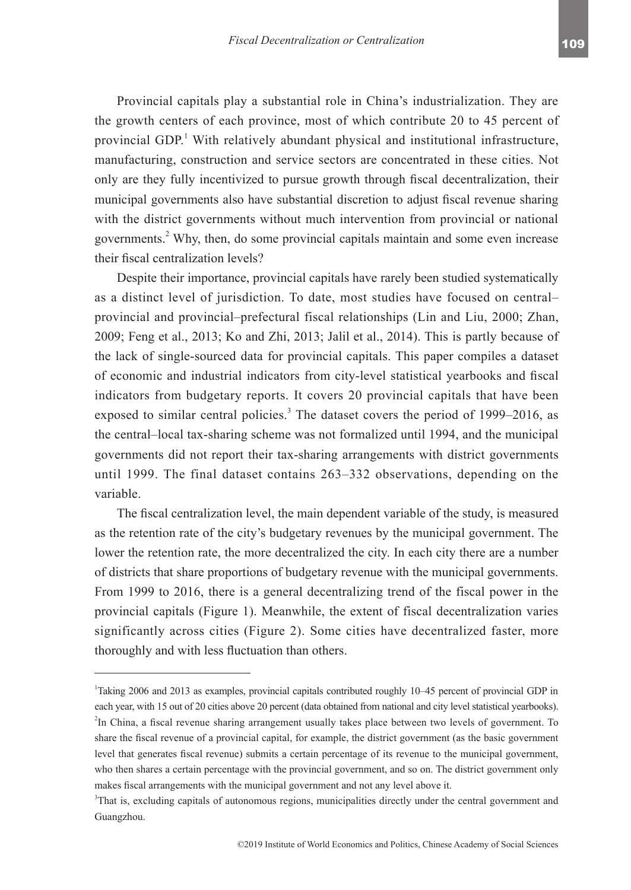Provincial capitals play a substantial role in China's industrialization. They are the growth centers of each province, most of which contribute 20 to 45 percent of provincial GDP.<sup>1</sup> With relatively abundant physical and institutional infrastructure, manufacturing, construction and service sectors are concentrated in these cities. Not only are they fully incentivized to pursue growth through fiscal decentralization, their municipal governments also have substantial discretion to adjust fiscal revenue sharing with the district governments without much intervention from provincial or national governments.<sup>2</sup> Why, then, do some provincial capitals maintain and some even increase their fiscal centralization levels?

Despite their importance, provincial capitals have rarely been studied systematically as a distinct level of jurisdiction. To date, most studies have focused on central– provincial and provincial–prefectural fiscal relationships (Lin and Liu, 2000; Zhan, 2009; Feng et al., 2013; Ko and Zhi, 2013; Jalil et al., 2014). This is partly because of the lack of single-sourced data for provincial capitals. This paper compiles a dataset of economic and industrial indicators from city-level statistical yearbooks and fiscal indicators from budgetary reports. It covers 20 provincial capitals that have been exposed to similar central policies.<sup>3</sup> The dataset covers the period of 1999–2016, as the central–local tax-sharing scheme was not formalized until 1994, and the municipal governments did not report their tax-sharing arrangements with district governments until 1999. The final dataset contains 263–332 observations, depending on the variable.

The fiscal centralization level, the main dependent variable of the study, is measured as the retention rate of the city's budgetary revenues by the municipal government. The lower the retention rate, the more decentralized the city. In each city there are a number of districts that share proportions of budgetary revenue with the municipal governments. From 1999 to 2016, there is a general decentralizing trend of the fiscal power in the provincial capitals (Figure 1). Meanwhile, the extent of fiscal decentralization varies significantly across cities (Figure 2). Some cities have decentralized faster, more thoroughly and with less fluctuation than others.

<sup>1</sup> Taking 2006 and 2013 as examples, provincial capitals contributed roughly 10–45 percent of provincial GDP in each year, with 15 out of 20 cities above 20 percent (data obtained from national and city level statistical yearbooks). <sup>2</sup>In China, a fiscal revenue sharing arrangement usually takes place between two levels of government. To share the fiscal revenue of a provincial capital, for example, the district government (as the basic government level that generates fiscal revenue) submits a certain percentage of its revenue to the municipal government, who then shares a certain percentage with the provincial government, and so on. The district government only makes fiscal arrangements with the municipal government and not any level above it.

<sup>&</sup>lt;sup>3</sup>That is, excluding capitals of autonomous regions, municipalities directly under the central government and Guangzhou.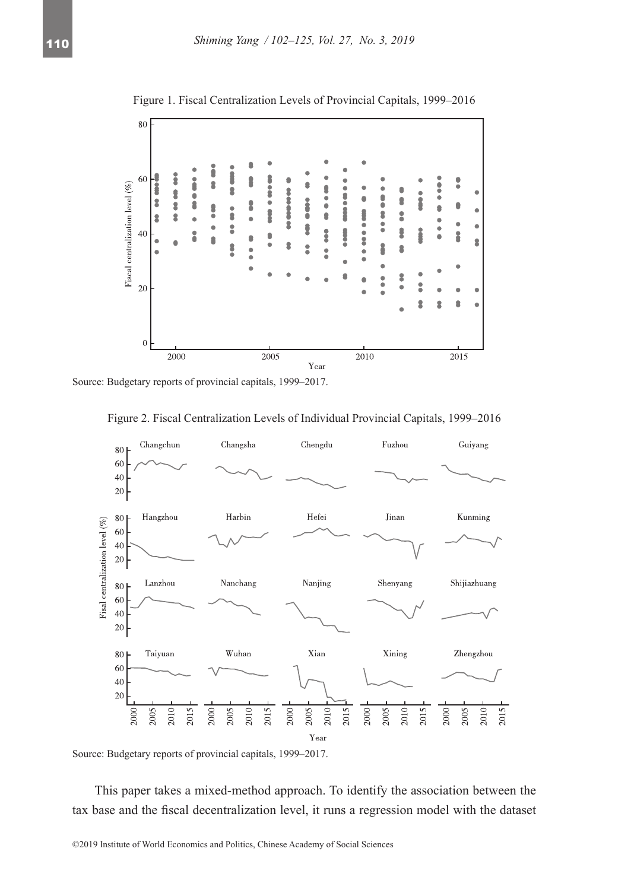

Figure 1. Fiscal Centralization Levels of Provincial Capitals, 1999–2016







Source: Budgetary reports of provincial capitals, 1999–2017.

This paper takes a mixed-method approach. To identify the association between the tax base and the fiscal decentralization level, it runs a regression model with the dataset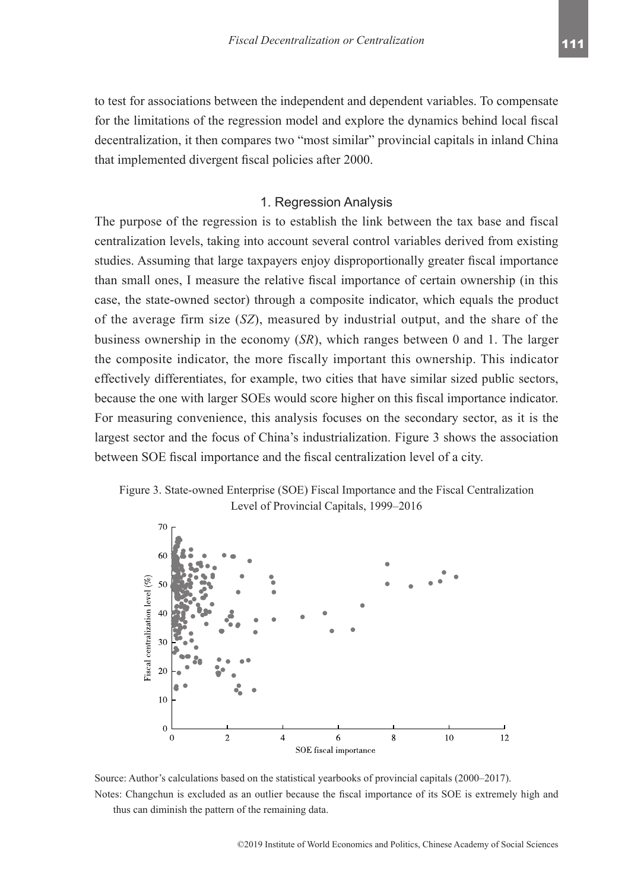to test for associations between the independent and dependent variables. To compensate for the limitations of the regression model and explore the dynamics behind local fiscal decentralization, it then compares two "most similar" provincial capitals in inland China that implemented divergent fiscal policies after 2000.

### 1. Regression Analysis

The purpose of the regression is to establish the link between the tax base and fiscal centralization levels, taking into account several control variables derived from existing studies. Assuming that large taxpayers enjoy disproportionally greater fiscal importance than small ones, I measure the relative fiscal importance of certain ownership (in this case, the state-owned sector) through a composite indicator, which equals the product of the average firm size (*SZ*), measured by industrial output, and the share of the business ownership in the economy (*SR*), which ranges between 0 and 1. The larger the composite indicator, the more fiscally important this ownership. This indicator effectively differentiates, for example, two cities that have similar sized public sectors, because the one with larger SOEs would score higher on this fiscal importance indicator. For measuring convenience, this analysis focuses on the secondary sector, as it is the largest sector and the focus of China's industrialization. Figure 3 shows the association between SOE fiscal importance and the fiscal centralization level of a city.





Source: Author's calculations based on the statistical yearbooks of provincial capitals (2000–2017). Notes: Changchun is excluded as an outlier because the fiscal importance of its SOE is extremely high and thus can diminish the pattern of the remaining data.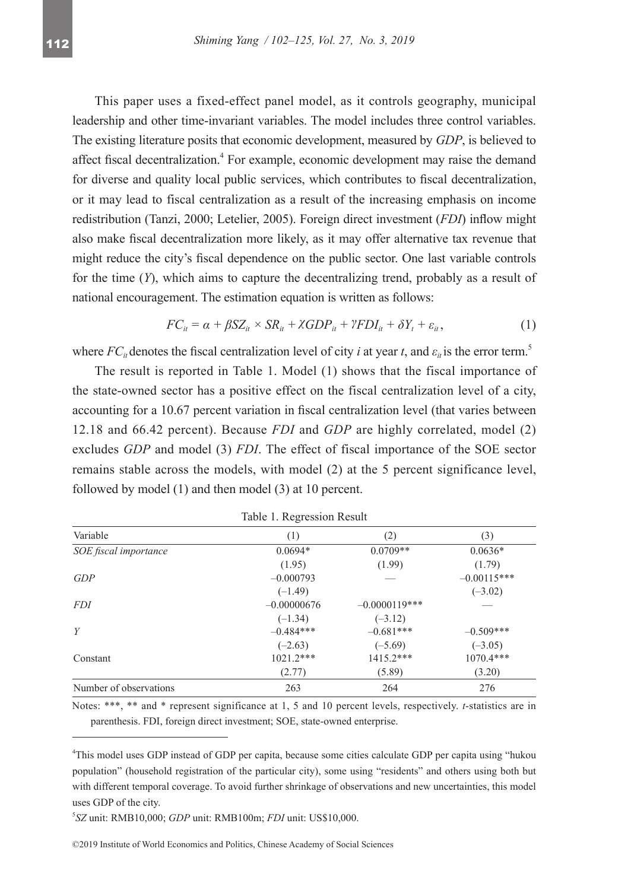This paper uses a fixed-effect panel model, as it controls geography, municipal leadership and other time-invariant variables. The model includes three control variables. The existing literature posits that economic development, measured by *GDP*, is believed to affect fiscal decentralization.<sup>4</sup> For example, economic development may raise the demand for diverse and quality local public services, which contributes to fiscal decentralization, or it may lead to fiscal centralization as a result of the increasing emphasis on income redistribution (Tanzi, 2000; Letelier, 2005). Foreign direct investment (*FDI*) inflow might also make fiscal decentralization more likely, as it may offer alternative tax revenue that might reduce the city's fiscal dependence on the public sector. One last variable controls for the time (*Y*), which aims to capture the decentralizing trend, probably as a result of national encouragement. The estimation equation is written as follows:

$$
FC_{it} = \alpha + \beta SZ_{it} \times SR_{it} + \chi GDP_{it} + \gamma FDI_{it} + \delta Y_t + \varepsilon_{it},
$$
\n(1)

where  $FC_i$  denotes the fiscal centralization level of city *i* at year *t*, and  $\varepsilon_i$  is the error term.<sup>5</sup>

The result is reported in Table 1. Model (1) shows that the fiscal importance of the state-owned sector has a positive effect on the fiscal centralization level of a city, accounting for a 10.67 percent variation in fiscal centralization level (that varies between 12.18 and 66.42 percent). Because *FDI* and *GDP* are highly correlated, model (2) excludes *GDP* and model (3) *FDI*. The effect of fiscal importance of the SOE sector remains stable across the models, with model (2) at the 5 percent significance level, followed by model (1) and then model (3) at 10 percent.

|                        | ັ             |                 |               |
|------------------------|---------------|-----------------|---------------|
| Variable               | (1)           | (2)             | (3)           |
| SOE fiscal importance  | $0.0694*$     | $0.0709**$      | $0.0636*$     |
|                        | (1.95)        | (1.99)          | (1.79)        |
| GDP                    | $-0.000793$   |                 | $-0.00115***$ |
|                        | $(-1.49)$     |                 | $(-3.02)$     |
| <i>FDI</i>             | $-0.00000676$ | $-0.0000119***$ |               |
|                        | $(-1.34)$     | $(-3.12)$       |               |
| Y                      | $-0.484***$   | $-0.681***$     | $-0.509***$   |
|                        | $(-2.63)$     | $(-5.69)$       | $(-3.05)$     |
| Constant               | $1021.2***$   | $1415.2***$     | $1070.4***$   |
|                        | (2.77)        | (5.89)          | (3.20)        |
| Number of observations | 263           | 264             | 276           |

|  | Table 1. Regression Result |  |
|--|----------------------------|--|
|  |                            |  |

Notes: \*\*\*, \*\* and \* represent significance at 1, 5 and 10 percent levels, respectively. *t*-statistics are in parenthesis. FDI, foreign direct investment; SOE, state-owned enterprise.

<sup>4</sup> This model uses GDP instead of GDP per capita, because some cities calculate GDP per capita using "hukou population" (household registration of the particular city), some using "residents" and others using both but with different temporal coverage. To avoid further shrinkage of observations and new uncertainties, this model uses GDP of the city.

<sup>5</sup> *SZ* unit: RMB10,000; *GDP* unit: RMB100m; *FDI* unit: US\$10,000.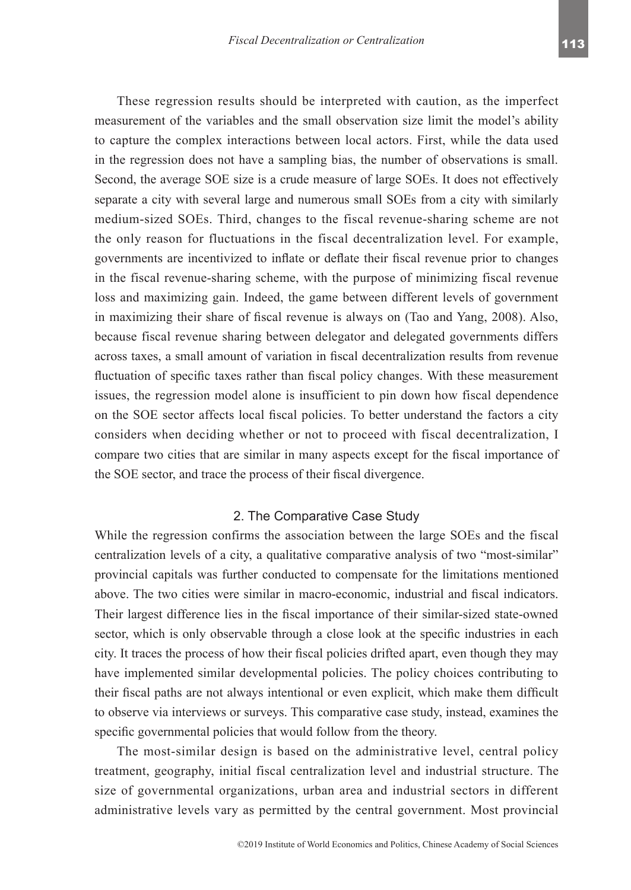These regression results should be interpreted with caution, as the imperfect measurement of the variables and the small observation size limit the model's ability to capture the complex interactions between local actors. First, while the data used in the regression does not have a sampling bias, the number of observations is small. Second, the average SOE size is a crude measure of large SOEs. It does not effectively separate a city with several large and numerous small SOEs from a city with similarly medium-sized SOEs. Third, changes to the fiscal revenue-sharing scheme are not the only reason for fluctuations in the fiscal decentralization level. For example, governments are incentivized to inflate or deflate their fiscal revenue prior to changes in the fiscal revenue-sharing scheme, with the purpose of minimizing fiscal revenue loss and maximizing gain. Indeed, the game between different levels of government in maximizing their share of fiscal revenue is always on (Tao and Yang, 2008). Also, because fiscal revenue sharing between delegator and delegated governments differs across taxes, a small amount of variation in fiscal decentralization results from revenue fluctuation of specific taxes rather than fiscal policy changes. With these measurement issues, the regression model alone is insufficient to pin down how fiscal dependence on the SOE sector affects local fiscal policies. To better understand the factors a city considers when deciding whether or not to proceed with fiscal decentralization, I compare two cities that are similar in many aspects except for the fiscal importance of the SOE sector, and trace the process of their fiscal divergence.

#### 2. The Comparative Case Study

While the regression confirms the association between the large SOEs and the fiscal centralization levels of a city, a qualitative comparative analysis of two "most-similar" provincial capitals was further conducted to compensate for the limitations mentioned above. The two cities were similar in macro-economic, industrial and fiscal indicators. Their largest difference lies in the fiscal importance of their similar-sized state-owned sector, which is only observable through a close look at the specific industries in each city. It traces the process of how their fiscal policies drifted apart, even though they may have implemented similar developmental policies. The policy choices contributing to their fiscal paths are not always intentional or even explicit, which make them difficult to observe via interviews or surveys. This comparative case study, instead, examines the specific governmental policies that would follow from the theory.

The most-similar design is based on the administrative level, central policy treatment, geography, initial fiscal centralization level and industrial structure. The size of governmental organizations, urban area and industrial sectors in different administrative levels vary as permitted by the central government. Most provincial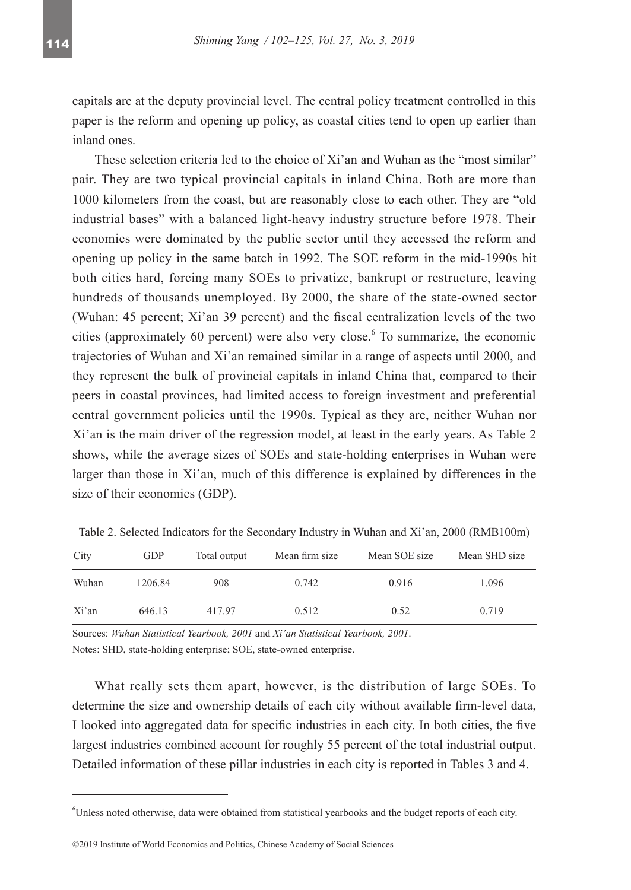capitals are at the deputy provincial level. The central policy treatment controlled in this paper is the reform and opening up policy, as coastal cities tend to open up earlier than inland ones.

These selection criteria led to the choice of Xi'an and Wuhan as the "most similar" pair. They are two typical provincial capitals in inland China. Both are more than 1000 kilometers from the coast, but are reasonably close to each other. They are "old industrial bases" with a balanced light-heavy industry structure before 1978. Their economies were dominated by the public sector until they accessed the reform and opening up policy in the same batch in 1992. The SOE reform in the mid-1990s hit both cities hard, forcing many SOEs to privatize, bankrupt or restructure, leaving hundreds of thousands unemployed. By 2000, the share of the state-owned sector (Wuhan: 45 percent; Xi'an 39 percent) and the fiscal centralization levels of the two cities (approximately 60 percent) were also very close.<sup>6</sup> To summarize, the economic trajectories of Wuhan and Xi'an remained similar in a range of aspects until 2000, and they represent the bulk of provincial capitals in inland China that, compared to their peers in coastal provinces, had limited access to foreign investment and preferential central government policies until the 1990s. Typical as they are, neither Wuhan nor Xi'an is the main driver of the regression model, at least in the early years. As Table 2 shows, while the average sizes of SOEs and state-holding enterprises in Wuhan were larger than those in Xi'an, much of this difference is explained by differences in the size of their economies (GDP).

| City  | <b>GDP</b> | Total output | Mean firm size | Mean SOE size | Mean SHD size |
|-------|------------|--------------|----------------|---------------|---------------|
| Wuhan | 1206.84    | 908          | 0.742          | 0.916         | 1.096         |
| Xi'an | 646.13     | 417.97       | 0.512          | 0.52          | 0.719         |

Table 2. Selected Indicators for the Secondary Industry in Wuhan and Xi'an, 2000 (RMB100m)

Sources: *Wuhan Statistical Yearbook, 2001* and *Xi'an Statistical Yearbook, 2001*. Notes: SHD, state-holding enterprise; SOE, state-owned enterprise.

What really sets them apart, however, is the distribution of large SOEs. To determine the size and ownership details of each city without available firm-level data, I looked into aggregated data for specific industries in each city. In both cities, the five largest industries combined account for roughly 55 percent of the total industrial output. Detailed information of these pillar industries in each city is reported in Tables 3 and 4.

<sup>6</sup> Unless noted otherwise, data were obtained from statistical yearbooks and the budget reports of each city.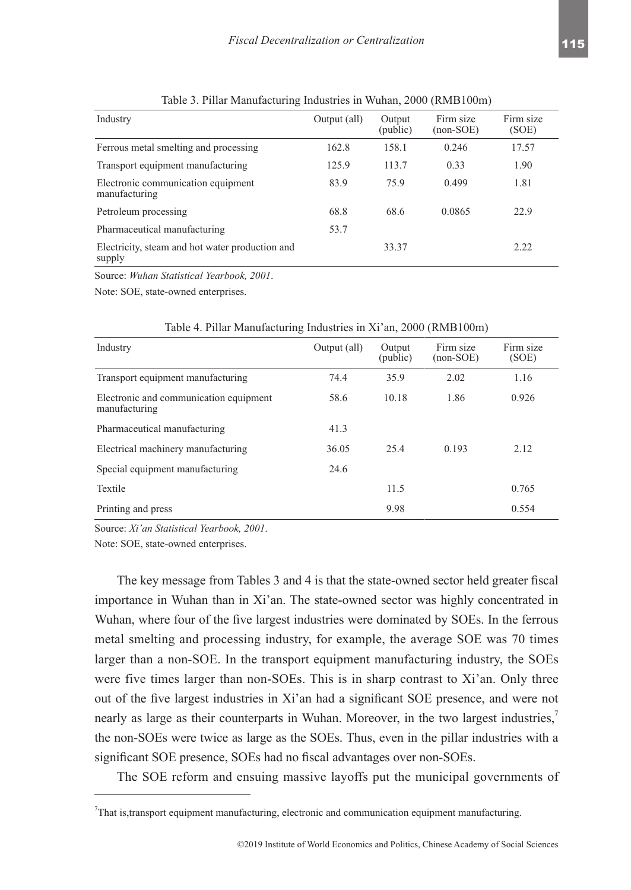| Industry                                                  | Output (all) | Output<br>(public) | Firm size<br>$(non-SOE)$ | Firm size<br>(SOE) |
|-----------------------------------------------------------|--------------|--------------------|--------------------------|--------------------|
| Ferrous metal smelting and processing                     | 162.8        | 158.1              | 0.246                    | 17.57              |
| Transport equipment manufacturing                         | 125.9        | 113.7              | 0.33                     | 1.90               |
| Electronic communication equipment<br>manufacturing       | 83.9         | 75.9               | 0.499                    | 1.81               |
| Petroleum processing                                      | 68.8         | 68.6               | 0.0865                   | 22.9               |
| Pharmaceutical manufacturing                              | 53.7         |                    |                          |                    |
| Electricity, steam and hot water production and<br>supply |              | 33.37              |                          | 2.22               |

Table 3. Pillar Manufacturing Industries in Wuhan, 2000 (RMB100m)

Source: *Wuhan Statistical Yearbook, 2001*.

Note: SOE, state-owned enterprises.

| Industry                                                | Output (all) | Output<br>(public) | Firm size<br>$(non-SOE)$ | Firm size<br>(SOE) |
|---------------------------------------------------------|--------------|--------------------|--------------------------|--------------------|
| Transport equipment manufacturing                       | 74.4         | 35.9               | 2.02                     | 1.16               |
| Electronic and communication equipment<br>manufacturing | 58.6         | 10.18              | 1.86                     | 0.926              |
| Pharmaceutical manufacturing                            | 41.3         |                    |                          |                    |
| Electrical machinery manufacturing                      | 36.05        | 25.4               | 0.193                    | 2.12               |
| Special equipment manufacturing                         | 24.6         |                    |                          |                    |
| Textile                                                 |              | 11.5               |                          | 0.765              |
| Printing and press                                      |              | 9.98               |                          | 0.554              |

Table 4. Pillar Manufacturing Industries in Xi'an, 2000 (RMB100m)

Source: *Xi'an Statistical Yearbook, 2001*.

Note: SOE, state-owned enterprises.

The key message from Tables 3 and 4 is that the state-owned sector held greater fiscal importance in Wuhan than in Xi'an. The state-owned sector was highly concentrated in Wuhan, where four of the five largest industries were dominated by SOEs. In the ferrous metal smelting and processing industry, for example, the average SOE was 70 times larger than a non-SOE. In the transport equipment manufacturing industry, the SOEs were five times larger than non-SOEs. This is in sharp contrast to Xi'an. Only three out of the five largest industries in Xi'an had a significant SOE presence, and were not nearly as large as their counterparts in Wuhan. Moreover, in the two largest industries,<sup>7</sup> the non-SOEs were twice as large as the SOEs. Thus, even in the pillar industries with a significant SOE presence, SOEs had no fiscal advantages over non-SOEs.

The SOE reform and ensuing massive layoffs put the municipal governments of

<sup>&</sup>lt;sup>7</sup>That is,transport equipment manufacturing, electronic and communication equipment manufacturing.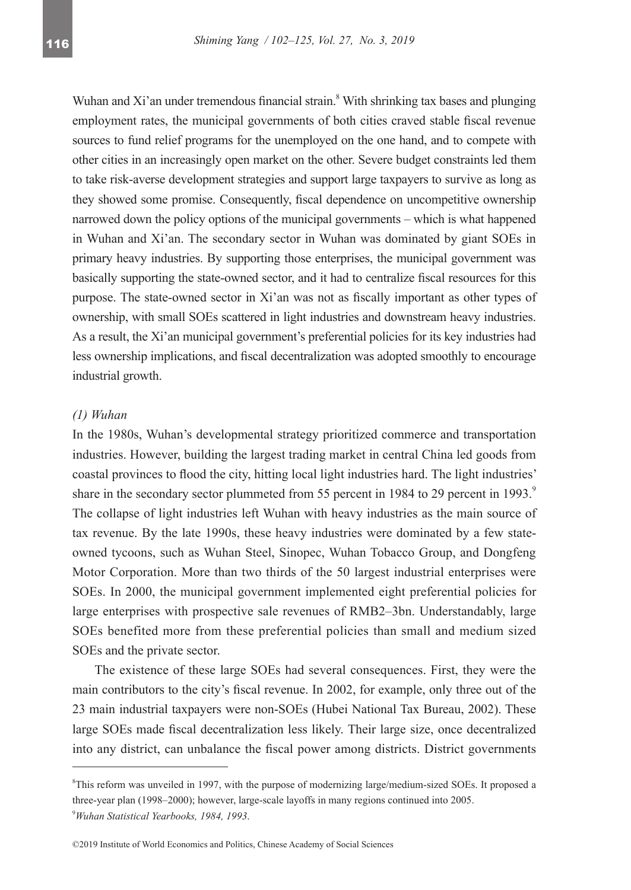Wuhan and Xi'an under tremendous financial strain.<sup>8</sup> With shrinking tax bases and plunging employment rates, the municipal governments of both cities craved stable fiscal revenue sources to fund relief programs for the unemployed on the one hand, and to compete with other cities in an increasingly open market on the other. Severe budget constraints led them to take risk-averse development strategies and support large taxpayers to survive as long as they showed some promise. Consequently, fiscal dependence on uncompetitive ownership narrowed down the policy options of the municipal governments – which is what happened in Wuhan and Xi'an. The secondary sector in Wuhan was dominated by giant SOEs in primary heavy industries. By supporting those enterprises, the municipal government was basically supporting the state-owned sector, and it had to centralize fiscal resources for this purpose. The state-owned sector in Xi'an was not as fiscally important as other types of ownership, with small SOEs scattered in light industries and downstream heavy industries. As a result, the Xi'an municipal government's preferential policies for its key industries had less ownership implications, and fiscal decentralization was adopted smoothly to encourage industrial growth.

#### *(1) Wuhan*

In the 1980s, Wuhan's developmental strategy prioritized commerce and transportation industries. However, building the largest trading market in central China led goods from coastal provinces to flood the city, hitting local light industries hard. The light industries' share in the secondary sector plummeted from 55 percent in 1984 to 29 percent in 1993.<sup>9</sup> The collapse of light industries left Wuhan with heavy industries as the main source of tax revenue. By the late 1990s, these heavy industries were dominated by a few stateowned tycoons, such as Wuhan Steel, Sinopec, Wuhan Tobacco Group, and Dongfeng Motor Corporation. More than two thirds of the 50 largest industrial enterprises were SOEs. In 2000, the municipal government implemented eight preferential policies for large enterprises with prospective sale revenues of RMB2–3bn. Understandably, large SOEs benefited more from these preferential policies than small and medium sized SOEs and the private sector.

The existence of these large SOEs had several consequences. First, they were the main contributors to the city's fiscal revenue. In 2002, for example, only three out of the 23 main industrial taxpayers were non-SOEs (Hubei National Tax Bureau, 2002). These large SOEs made fiscal decentralization less likely. Their large size, once decentralized into any district, can unbalance the fiscal power among districts. District governments

<sup>8</sup> This reform was unveiled in 1997, with the purpose of modernizing large/medium-sized SOEs. It proposed a three-year plan (1998–2000); however, large-scale layoffs in many regions continued into 2005. 9 *Wuhan Statistical Yearbooks, 1984, 1993*.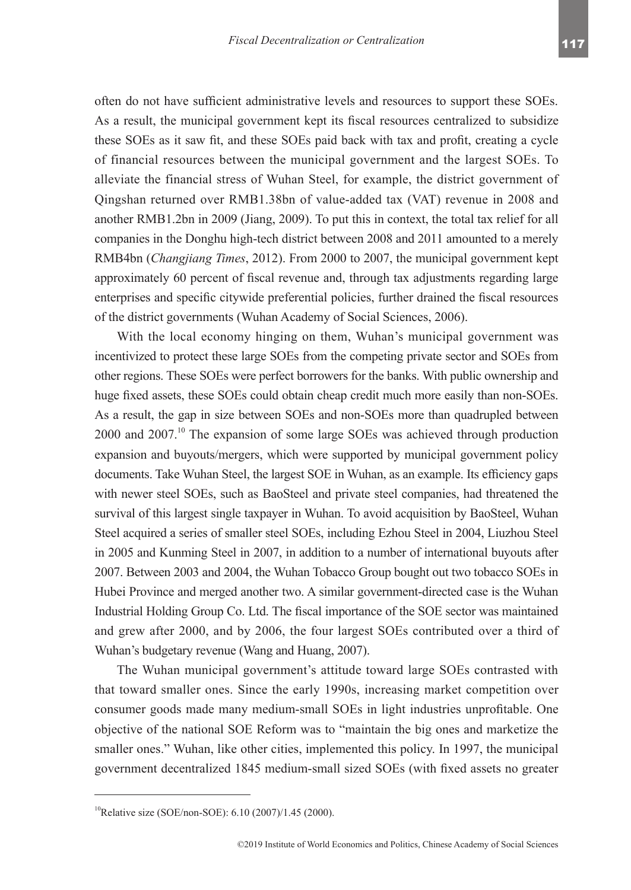often do not have sufficient administrative levels and resources to support these SOEs. As a result, the municipal government kept its fiscal resources centralized to subsidize these SOEs as it saw fit, and these SOEs paid back with tax and profit, creating a cycle of financial resources between the municipal government and the largest SOEs. To alleviate the financial stress of Wuhan Steel, for example, the district government of Qingshan returned over RMB1.38bn of value-added tax (VAT) revenue in 2008 and another RMB1.2bn in 2009 (Jiang, 2009). To put this in context, the total tax relief for all companies in the Donghu high-tech district between 2008 and 2011 amounted to a merely RMB4bn (*Changjiang Times*, 2012). From 2000 to 2007, the municipal government kept approximately 60 percent of fiscal revenue and, through tax adjustments regarding large enterprises and specific citywide preferential policies, further drained the fiscal resources of the district governments (Wuhan Academy of Social Sciences, 2006).

With the local economy hinging on them, Wuhan's municipal government was incentivized to protect these large SOEs from the competing private sector and SOEs from other regions. These SOEs were perfect borrowers for the banks. With public ownership and huge fixed assets, these SOEs could obtain cheap credit much more easily than non-SOEs. As a result, the gap in size between SOEs and non-SOEs more than quadrupled between  $2000$  and  $2007$ .<sup>10</sup> The expansion of some large SOEs was achieved through production expansion and buyouts/mergers, which were supported by municipal government policy documents. Take Wuhan Steel, the largest SOE in Wuhan, as an example. Its efficiency gaps with newer steel SOEs, such as BaoSteel and private steel companies, had threatened the survival of this largest single taxpayer in Wuhan. To avoid acquisition by BaoSteel, Wuhan Steel acquired a series of smaller steel SOEs, including Ezhou Steel in 2004, Liuzhou Steel in 2005 and Kunming Steel in 2007, in addition to a number of international buyouts after 2007. Between 2003 and 2004, the Wuhan Tobacco Group bought out two tobacco SOEs in Hubei Province and merged another two. A similar government-directed case is the Wuhan Industrial Holding Group Co. Ltd. The fiscal importance of the SOE sector was maintained and grew after 2000, and by 2006, the four largest SOEs contributed over a third of Wuhan's budgetary revenue (Wang and Huang, 2007).

The Wuhan municipal government's attitude toward large SOEs contrasted with that toward smaller ones. Since the early 1990s, increasing market competition over consumer goods made many medium-small SOEs in light industries unprofitable. One objective of the national SOE Reform was to "maintain the big ones and marketize the smaller ones." Wuhan, like other cities, implemented this policy. In 1997, the municipal government decentralized 1845 medium-small sized SOEs (with fixed assets no greater

 $10^1$ Relative size (SOE/non-SOE): 6.10 (2007)/1.45 (2000).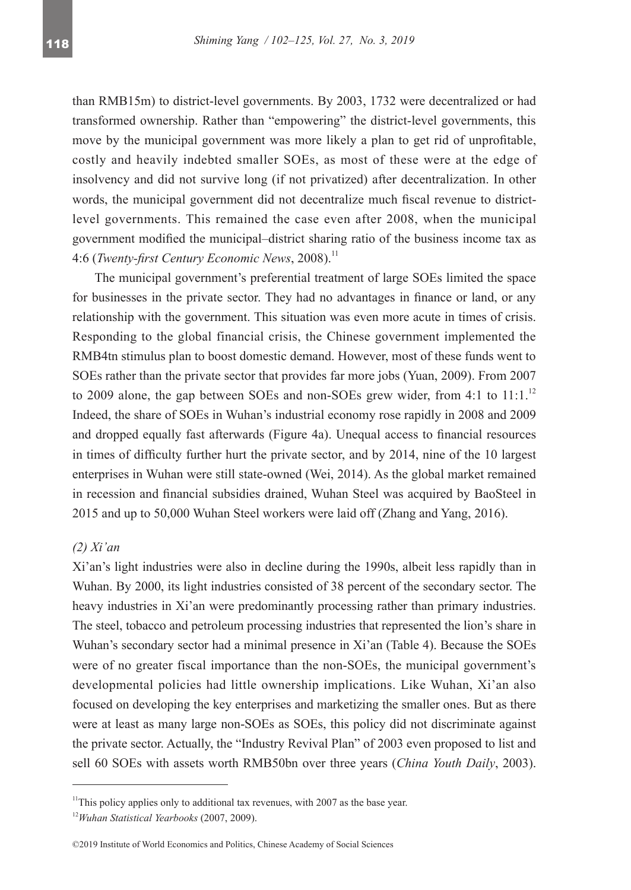than RMB15m) to district-level governments. By 2003, 1732 were decentralized or had transformed ownership. Rather than "empowering" the district-level governments, this move by the municipal government was more likely a plan to get rid of unprofitable, costly and heavily indebted smaller SOEs, as most of these were at the edge of insolvency and did not survive long (if not privatized) after decentralization. In other words, the municipal government did not decentralize much fiscal revenue to districtlevel governments. This remained the case even after 2008, when the municipal government modified the municipal–district sharing ratio of the business income tax as 4:6 (*Twenty-first Century Economic News*, 2008).<sup>11</sup>

The municipal government's preferential treatment of large SOEs limited the space for businesses in the private sector. They had no advantages in finance or land, or any relationship with the government. This situation was even more acute in times of crisis. Responding to the global financial crisis, the Chinese government implemented the RMB4tn stimulus plan to boost domestic demand. However, most of these funds went to SOEs rather than the private sector that provides far more jobs (Yuan, 2009). From 2007 to 2009 alone, the gap between SOEs and non-SOEs grew wider, from 4:1 to  $11:1.^{12}$ Indeed, the share of SOEs in Wuhan's industrial economy rose rapidly in 2008 and 2009 and dropped equally fast afterwards (Figure 4a). Unequal access to financial resources in times of difficulty further hurt the private sector, and by 2014, nine of the 10 largest enterprises in Wuhan were still state-owned (Wei, 2014). As the global market remained in recession and financial subsidies drained, Wuhan Steel was acquired by BaoSteel in 2015 and up to 50,000 Wuhan Steel workers were laid off (Zhang and Yang, 2016).

#### *(2) Xi'an*

Xi'an's light industries were also in decline during the 1990s, albeit less rapidly than in Wuhan. By 2000, its light industries consisted of 38 percent of the secondary sector. The heavy industries in Xi'an were predominantly processing rather than primary industries. The steel, tobacco and petroleum processing industries that represented the lion's share in Wuhan's secondary sector had a minimal presence in Xi'an (Table 4). Because the SOEs were of no greater fiscal importance than the non-SOEs, the municipal government's developmental policies had little ownership implications. Like Wuhan, Xi'an also focused on developing the key enterprises and marketizing the smaller ones. But as there were at least as many large non-SOEs as SOEs, this policy did not discriminate against the private sector. Actually, the "Industry Revival Plan" of 2003 even proposed to list and sell 60 SOEs with assets worth RMB50bn over three years (*China Youth Daily*, 2003).

 $11$ This policy applies only to additional tax revenues, with 2007 as the base year.

<sup>12</sup>*Wuhan Statistical Yearbooks* (2007, 2009).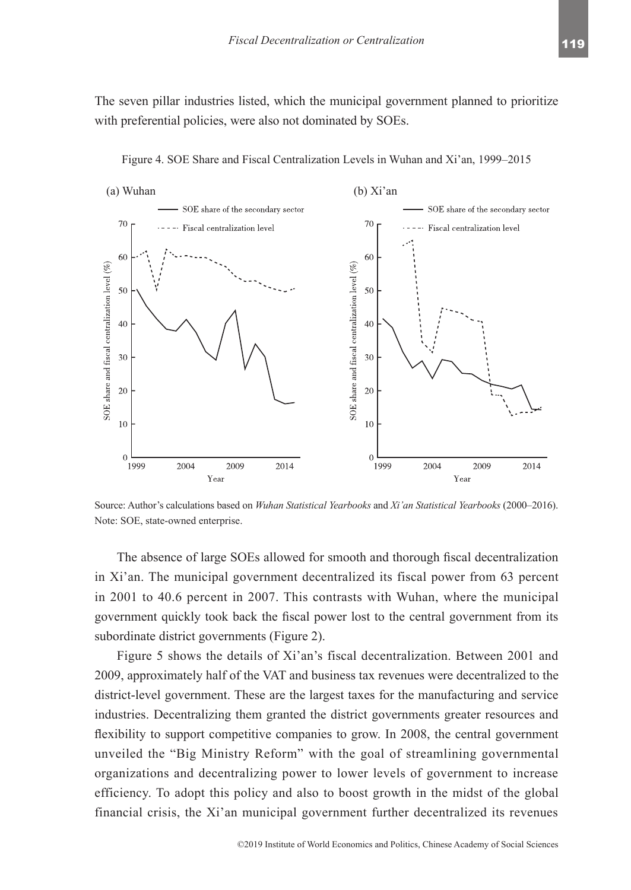The seven pillar industries listed, which the municipal government planned to prioritize with preferential policies, were also not dominated by SOEs.



Figure 4. SOE Share and Fiscal Centralization Levels in Wuhan and Xi'an, 1999–2015

Source: Author's calculations based on *Wuhan Statistical Yearbooks* and *Xi'an Statistical Yearbooks* (2000–2016). Note: SOE, state-owned enterprise.

The absence of large SOEs allowed for smooth and thorough fiscal decentralization in Xi'an. The municipal government decentralized its fiscal power from 63 percent in 2001 to 40.6 percent in 2007. This contrasts with Wuhan, where the municipal government quickly took back the fiscal power lost to the central government from its subordinate district governments (Figure 2).

Figure 5 shows the details of Xi'an's fiscal decentralization. Between 2001 and 2009, approximately half of the VAT and business tax revenues were decentralized to the district-level government. These are the largest taxes for the manufacturing and service industries. Decentralizing them granted the district governments greater resources and flexibility to support competitive companies to grow. In 2008, the central government unveiled the "Big Ministry Reform" with the goal of streamlining governmental organizations and decentralizing power to lower levels of government to increase efficiency. To adopt this policy and also to boost growth in the midst of the global financial crisis, the Xi'an municipal government further decentralized its revenues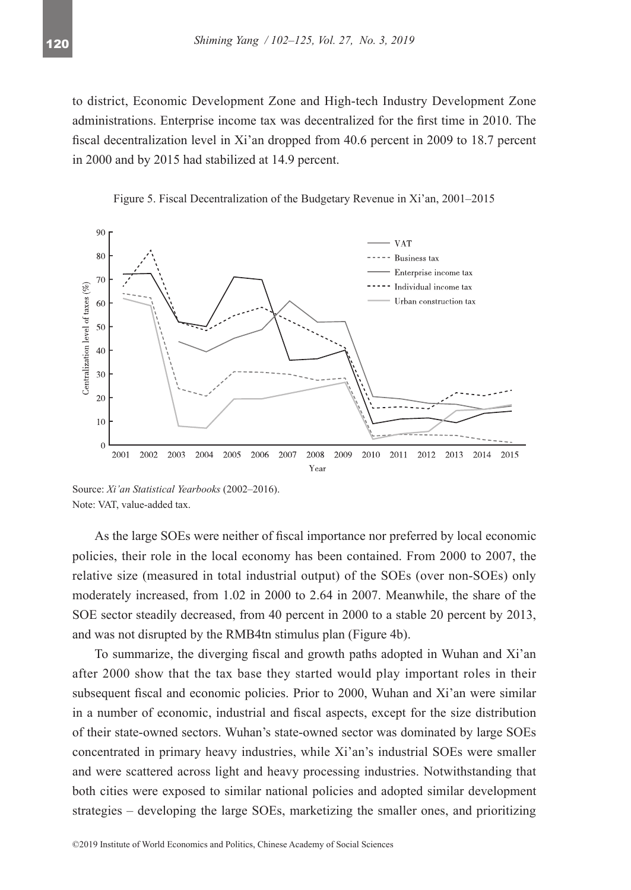to district, Economic Development Zone and High-tech Industry Development Zone administrations. Enterprise income tax was decentralized for the first time in 2010. The fiscal decentralization level in Xi'an dropped from 40.6 percent in 2009 to 18.7 percent in 2000 and by 2015 had stabilized at 14.9 percent.



Figure 5. Fiscal Decentralization of the Budgetary Revenue in Xi'an, 2001–2015

As the large SOEs were neither of fiscal importance nor preferred by local economic policies, their role in the local economy has been contained. From 2000 to 2007, the relative size (measured in total industrial output) of the SOEs (over non-SOEs) only moderately increased, from 1.02 in 2000 to 2.64 in 2007. Meanwhile, the share of the SOE sector steadily decreased, from 40 percent in 2000 to a stable 20 percent by 2013, and was not disrupted by the RMB4tn stimulus plan (Figure 4b).

To summarize, the diverging fiscal and growth paths adopted in Wuhan and Xi'an after 2000 show that the tax base they started would play important roles in their subsequent fiscal and economic policies. Prior to 2000, Wuhan and Xi'an were similar in a number of economic, industrial and fiscal aspects, except for the size distribution of their state-owned sectors. Wuhan's state-owned sector was dominated by large SOEs concentrated in primary heavy industries, while Xi'an's industrial SOEs were smaller and were scattered across light and heavy processing industries. Notwithstanding that both cities were exposed to similar national policies and adopted similar development strategies – developing the large SOEs, marketizing the smaller ones, and prioritizing

Source: *Xi'an Statistical Yearbooks* (2002–2016). Note: VAT, value-added tax.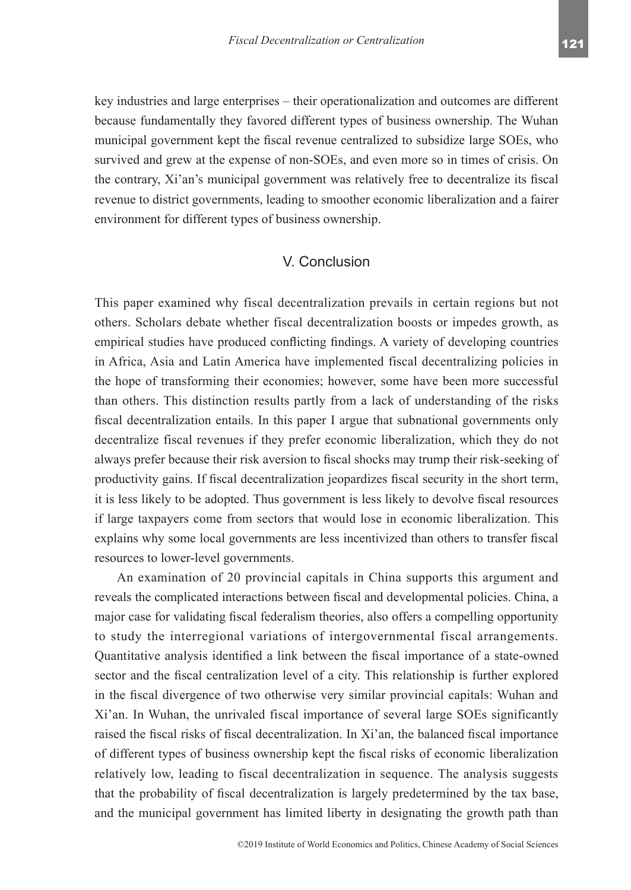key industries and large enterprises – their operationalization and outcomes are different because fundamentally they favored different types of business ownership. The Wuhan municipal government kept the fiscal revenue centralized to subsidize large SOEs, who survived and grew at the expense of non-SOEs, and even more so in times of crisis. On the contrary, Xi'an's municipal government was relatively free to decentralize its fiscal revenue to district governments, leading to smoother economic liberalization and a fairer environment for different types of business ownership.

## V. Conclusion

This paper examined why fiscal decentralization prevails in certain regions but not others. Scholars debate whether fiscal decentralization boosts or impedes growth, as empirical studies have produced conflicting findings. A variety of developing countries in Africa, Asia and Latin America have implemented fiscal decentralizing policies in the hope of transforming their economies; however, some have been more successful than others. This distinction results partly from a lack of understanding of the risks fiscal decentralization entails. In this paper I argue that subnational governments only decentralize fiscal revenues if they prefer economic liberalization, which they do not always prefer because their risk aversion to fiscal shocks may trump their risk-seeking of productivity gains. If fiscal decentralization jeopardizes fiscal security in the short term, it is less likely to be adopted. Thus government is less likely to devolve fiscal resources if large taxpayers come from sectors that would lose in economic liberalization. This explains why some local governments are less incentivized than others to transfer fiscal resources to lower-level governments.

An examination of 20 provincial capitals in China supports this argument and reveals the complicated interactions between fiscal and developmental policies. China, a major case for validating fiscal federalism theories, also offers a compelling opportunity to study the interregional variations of intergovernmental fiscal arrangements. Quantitative analysis identified a link between the fiscal importance of a state-owned sector and the fiscal centralization level of a city. This relationship is further explored in the fiscal divergence of two otherwise very similar provincial capitals: Wuhan and Xi'an. In Wuhan, the unrivaled fiscal importance of several large SOEs significantly raised the fiscal risks of fiscal decentralization. In Xi'an, the balanced fiscal importance of different types of business ownership kept the fiscal risks of economic liberalization relatively low, leading to fiscal decentralization in sequence. The analysis suggests that the probability of fiscal decentralization is largely predetermined by the tax base, and the municipal government has limited liberty in designating the growth path than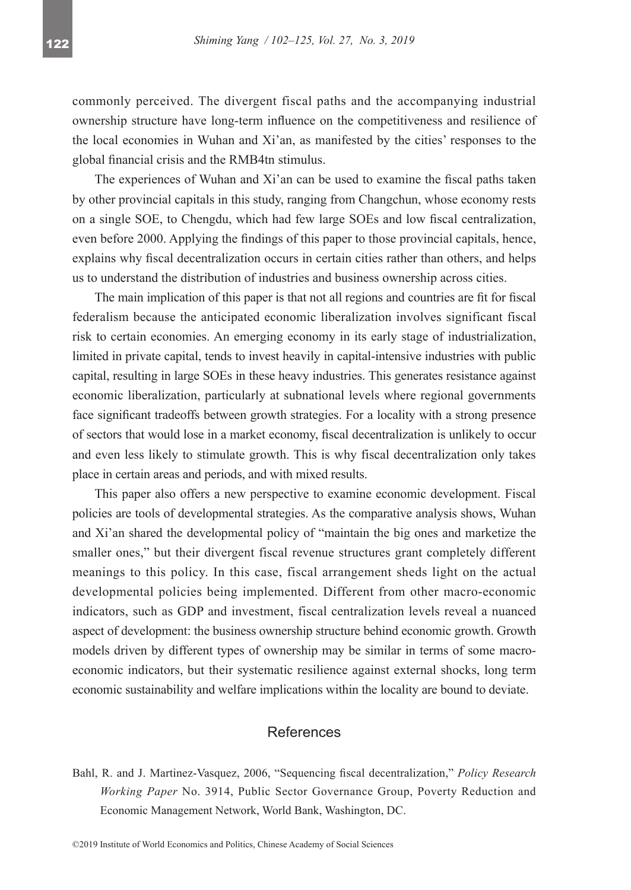commonly perceived. The divergent fiscal paths and the accompanying industrial ownership structure have long-term influence on the competitiveness and resilience of the local economies in Wuhan and Xi'an, as manifested by the cities' responses to the global financial crisis and the RMB4tn stimulus.

The experiences of Wuhan and Xi'an can be used to examine the fiscal paths taken by other provincial capitals in this study, ranging from Changchun, whose economy rests on a single SOE, to Chengdu, which had few large SOEs and low fiscal centralization, even before 2000. Applying the findings of this paper to those provincial capitals, hence, explains why fiscal decentralization occurs in certain cities rather than others, and helps us to understand the distribution of industries and business ownership across cities.

The main implication of this paper is that not all regions and countries are fit for fiscal federalism because the anticipated economic liberalization involves significant fiscal risk to certain economies. An emerging economy in its early stage of industrialization, limited in private capital, tends to invest heavily in capital-intensive industries with public capital, resulting in large SOEs in these heavy industries. This generates resistance against economic liberalization, particularly at subnational levels where regional governments face significant tradeoffs between growth strategies. For a locality with a strong presence of sectors that would lose in a market economy, fiscal decentralization is unlikely to occur and even less likely to stimulate growth. This is why fiscal decentralization only takes place in certain areas and periods, and with mixed results.

This paper also offers a new perspective to examine economic development. Fiscal policies are tools of developmental strategies. As the comparative analysis shows, Wuhan and Xi'an shared the developmental policy of "maintain the big ones and marketize the smaller ones," but their divergent fiscal revenue structures grant completely different meanings to this policy. In this case, fiscal arrangement sheds light on the actual developmental policies being implemented. Different from other macro-economic indicators, such as GDP and investment, fiscal centralization levels reveal a nuanced aspect of development: the business ownership structure behind economic growth. Growth models driven by different types of ownership may be similar in terms of some macroeconomic indicators, but their systematic resilience against external shocks, long term economic sustainability and welfare implications within the locality are bound to deviate.

## References

Bahl, R. and J. Martinez-Vasquez, 2006, "Sequencing fiscal decentralization," *Policy Research Working Paper* No. 3914, Public Sector Governance Group, Poverty Reduction and Economic Management Network, World Bank, Washington, DC.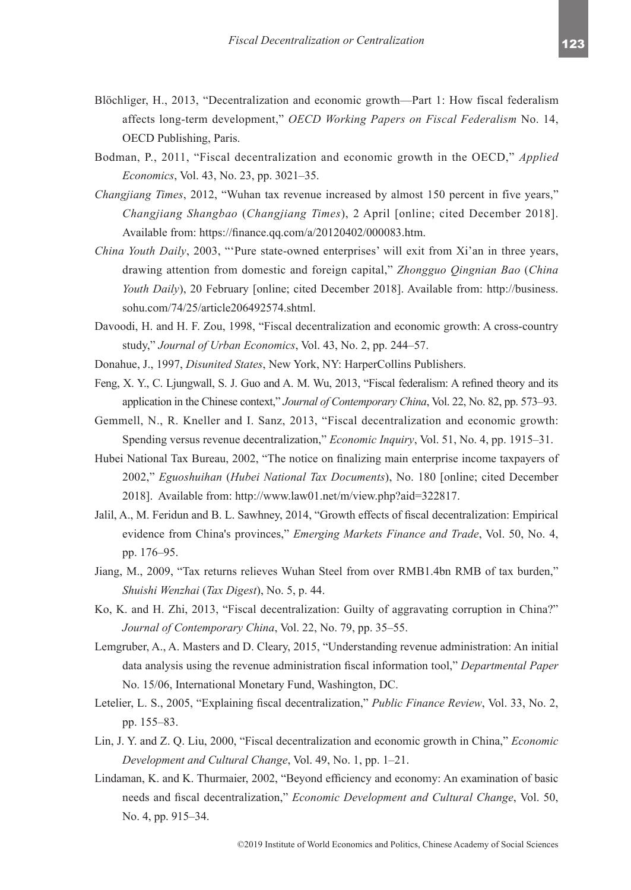- Blöchliger, H., 2013, "Decentralization and economic growth—Part 1: How fiscal federalism affects long-term development," *OECD Working Papers on Fiscal Federalism* No. 14, OECD Publishing, Paris.
- Bodman, P., 2011, "Fiscal decentralization and economic growth in the OECD," *Applied Economics*, Vol. 43, No. 23, pp. 3021–35.
- *Changjiang Times*, 2012, "Wuhan tax revenue increased by almost 150 percent in five years," *Changjiang Shangbao* (*Changjiang Times*), 2 April [online; cited December 2018]. Available from: https://finance.qq.com/a/20120402/000083.htm.
- *China Youth Daily*, 2003, "'Pure state-owned enterprises' will exit from Xi'an in three years, drawing attention from domestic and foreign capital," *Zhongguo Qingnian Bao* (*China Youth Daily*), 20 February [online; cited December 2018]. Available from: http://business. sohu.com/74/25/article206492574.shtml.
- Davoodi, H. and H. F. Zou, 1998, "Fiscal decentralization and economic growth: A cross-country study," *Journal of Urban Economics*, Vol. 43, No. 2, pp. 244–57.
- Donahue, J., 1997, *Disunited States*, New York, NY: HarperCollins Publishers.
- Feng, X. Y., C. Ljungwall, S. J. Guo and A. M. Wu, 2013, "Fiscal federalism: A refined theory and its application in the Chinese context," *Journal of Contemporary China*, Vol. 22, No. 82, pp. 573–93.
- Gemmell, N., R. Kneller and I. Sanz, 2013, "Fiscal decentralization and economic growth: Spending versus revenue decentralization," *Economic Inquiry*, Vol. 51, No. 4, pp. 1915–31.
- Hubei National Tax Bureau, 2002, "The notice on finalizing main enterprise income taxpayers of 2002," *Eguoshuihan* (*Hubei National Tax Documents*), No. 180 [online; cited December 2018]. Available from: http://www.law01.net/m/view.php?aid=322817.
- Jalil, A., M. Feridun and B. L. Sawhney, 2014, "Growth effects of fiscal decentralization: Empirical evidence from China's provinces," *Emerging Markets Finance and Trade*, Vol. 50, No. 4, pp. 176–95.
- Jiang, M., 2009, "Tax returns relieves Wuhan Steel from over RMB1.4bn RMB of tax burden," *Shuishi Wenzhai* (*Tax Digest*), No. 5, p. 44.
- Ko, K. and H. Zhi, 2013, "Fiscal decentralization: Guilty of aggravating corruption in China?" *Journal of Contemporary China*, Vol. 22, No. 79, pp. 35–55.
- Lemgruber, A., A. Masters and D. Cleary, 2015, "Understanding revenue administration: An initial data analysis using the revenue administration fiscal information tool," *Departmental Paper*  No. 15/06, International Monetary Fund, Washington, DC.
- Letelier, L. S., 2005, "Explaining fiscal decentralization," *Public Finance Review*, Vol. 33, No. 2, pp. 155–83.
- Lin, J. Y. and Z. Q. Liu, 2000, "Fiscal decentralization and economic growth in China," *Economic Development and Cultural Change*, Vol. 49, No. 1, pp. 1–21.
- Lindaman, K. and K. Thurmaier, 2002, "Beyond efficiency and economy: An examination of basic needs and fiscal decentralization," *Economic Development and Cultural Change*, Vol. 50, No. 4, pp. 915–34.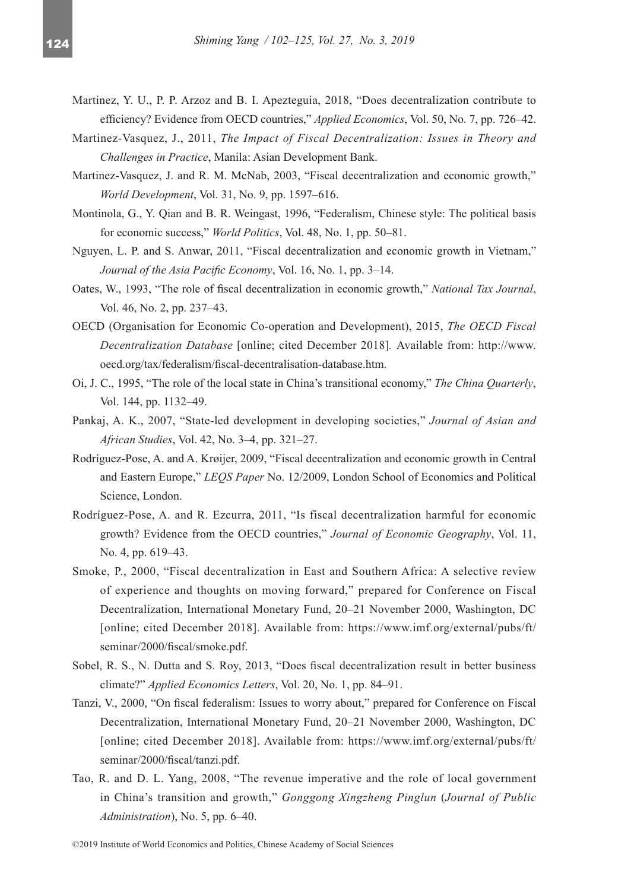- Martinez, Y. U., P. P. Arzoz and B. I. Apezteguia, 2018, "Does decentralization contribute to efficiency? Evidence from OECD countries," *Applied Economics*, Vol. 50, No. 7, pp. 726–42.
- Martinez-Vasquez, J., 2011, *The Impact of Fiscal Decentralization: Issues in Theory and Challenges in Practice*, Manila: Asian Development Bank.
- Martinez-Vasquez, J. and R. M. McNab, 2003, "Fiscal decentralization and economic growth," *World Development*, Vol. 31, No. 9, pp. 1597–616.
- Montinola, G., Y. Qian and B. R. Weingast, 1996, "Federalism, Chinese style: The political basis for economic success," *World Politics*, Vol. 48, No. 1, pp. 50–81.
- Nguyen, L. P. and S. Anwar, 2011, "Fiscal decentralization and economic growth in Vietnam," *Journal of the Asia Pacific Economy*, Vol. 16, No. 1, pp. 3–14.
- Oates, W., 1993, "The role of fiscal decentralization in economic growth," *National Tax Journal*, Vol. 46, No. 2, pp. 237–43.
- OECD (Organisation for Economic Co-operation and Development), 2015, *The OECD Fiscal Decentralization Database* [online; cited December 2018]*.* Available from: http://www. oecd.org/tax/federalism/fiscal-decentralisation-database.htm.
- Oi, J. C., 1995, "The role of the local state in China's transitional economy," *The China Quarterly*, Vol. 144, pp. 1132–49.
- Pankaj, A. K., 2007, "State-led development in developing societies," *Journal of Asian and African Studies*, Vol. 42, No. 3–4, pp. 321–27.
- Rodríguez-Pose, A. and A. Krøijer, 2009, "Fiscal decentralization and economic growth in Central and Eastern Europe," *LEQS Paper* No. 12/2009, London School of Economics and Political Science, London.
- Rodríguez-Pose, A. and R. Ezcurra, 2011, "Is fiscal decentralization harmful for economic growth? Evidence from the OECD countries," *Journal of Economic Geography*, Vol. 11, No. 4, pp. 619–43.
- Smoke, P., 2000, "Fiscal decentralization in East and Southern Africa: A selective review of experience and thoughts on moving forward," prepared for Conference on Fiscal Decentralization, International Monetary Fund, 20–21 November 2000, Washington, DC [online; cited December 2018]. Available from: https://www.imf.org/external/pubs/ft/ seminar/2000/fiscal/smoke.pdf.
- Sobel, R. S., N. Dutta and S. Roy, 2013, "Does fiscal decentralization result in better business climate?" *Applied Economics Letters*, Vol. 20, No. 1, pp. 84–91.
- Tanzi, V., 2000, "On fiscal federalism: Issues to worry about," prepared for Conference on Fiscal Decentralization, International Monetary Fund, 20–21 November 2000, Washington, DC [online; cited December 2018]. Available from: https://www.imf.org/external/pubs/ft/ seminar/2000/fiscal/tanzi.pdf.
- Tao, R. and D. L. Yang, 2008, "The revenue imperative and the role of local government in China's transition and growth," *Gonggong Xingzheng Pinglun* (*Journal of Public Administration*), No. 5, pp. 6–40.